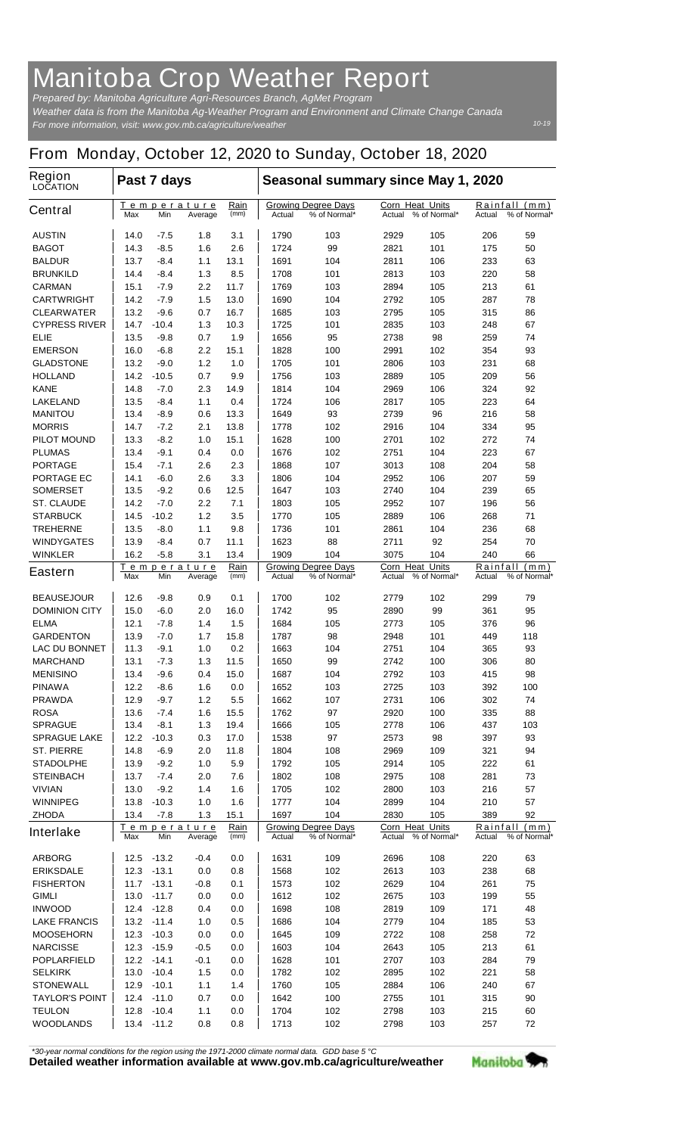## **Manitoba Crop Weather Report**

*For more information, visit: www.gov.mb.ca/agriculture/weather Prepared by: Manitoba Agriculture Agri-Resources Branch, AgMet Program Weather data is from the Manitoba Ag-Weather Program and Environment and Climate Change Canada*

## **From Monday, October 12, 2020 to Sunday, October 18, 2020**

| <b>Region</b><br><b>LOCATION</b>   | Past 7 days                                                |                |                         |                                                      | Seasonal summary since May 1, 2020 |                                                  |                                  |                                                                          |            |                               |
|------------------------------------|------------------------------------------------------------|----------------|-------------------------|------------------------------------------------------|------------------------------------|--------------------------------------------------|----------------------------------|--------------------------------------------------------------------------|------------|-------------------------------|
| <b>Central</b>                     | Max                                                        | Min            | Temperature<br>Average  | Rain<br>(mm)                                         | Actual                             | <b>Growing Degree Days</b><br>% of Normal*       | <b>Corn Heat Units</b><br>Actual | % of Normal*                                                             | Actual     | Rainfall (mm)<br>% of Normal* |
| <b>AUSTIN</b>                      | 14.0                                                       | -7.5           | 1.8                     | 3.1                                                  | 1790                               | 103                                              | 2929                             | 105                                                                      | 206        | 59                            |
| <b>BAGOT</b>                       | 14.3                                                       | -8.5           | 1.6                     | 2.6                                                  | 1724                               | 99                                               | 2821                             | 101                                                                      | 175        | 50                            |
| <b>BALDUR</b>                      | 13.7                                                       | -8.4           | 1.1                     | 13.1                                                 | 1691                               | 104                                              | 2811                             | 106                                                                      | 233        | 63                            |
| <b>BRUNKILD</b>                    | 14.4                                                       | -8.4           | 1.3                     | 8.5                                                  | 1708                               | 101                                              | 2813                             | 103                                                                      | 220        | 58                            |
| <b>CARMAN</b>                      | 15.1                                                       | $-7.9$         | 2.2                     | 11.7                                                 | 1769                               | 103                                              | 2894                             | 105                                                                      | 213        | 61                            |
| <b>CARTWRIGHT</b>                  | 14.2                                                       | $-7.9$         | 1.5                     | 13.0                                                 | 1690                               | 104                                              | 2792                             | 105                                                                      | 287        | 78                            |
| <b>CLEARWATER</b>                  | 13.2                                                       | -9.6           | 0.7                     | 16.7                                                 | 1685                               | 103                                              | 2795                             | 105                                                                      | 315        | 86                            |
| <b>CYPRESS RIVER</b>               | 14.7                                                       | $-10.4$        | 1.3                     | 10.3                                                 | 1725                               | 101                                              | 2835                             | 103                                                                      | 248        | 67                            |
| <b>ELIE</b>                        | 13.5                                                       | -9.8           | 0.7                     | 1.9                                                  | 1656<br>1828                       | 95                                               | 2738                             | 98                                                                       | 259<br>354 | 74<br>93                      |
| <b>EMERSON</b><br><b>GLADSTONE</b> | 16.0<br>13.2                                               | $-6.8$<br>-9.0 | $2.2\phantom{0}$<br>1.2 | 15.1<br>1.0                                          | 1705                               | 100<br>101                                       | 2991<br>2806                     | 102<br>103                                                               | 231        | 68                            |
| <b>HOLLAND</b>                     | 14.2                                                       | $-10.5$        | 0.7                     | 9.9                                                  | 1756                               | 103                                              | 2889                             | 105                                                                      | 209        | 56                            |
| <b>KANE</b>                        | 14.8                                                       | -7.0           | 2.3                     | 14.9                                                 | 1814                               | 104                                              | 2969                             | 106                                                                      | 324        | 92                            |
| <b>LAKELAND</b>                    | 13.5                                                       | -8.4           | 1.1                     | 0.4                                                  | 1724                               | 106                                              | 2817                             | 105                                                                      | 223        | 64                            |
| <b>MANITOU</b>                     | 13.4                                                       | -8.9           | 0.6                     | 13.3                                                 | 1649                               | 93                                               | 2739                             | 96                                                                       | 216        | 58                            |
| <b>MORRIS</b>                      | 14.7                                                       | $-7.2$         | 2.1                     | 13.8                                                 | 1778                               | 102                                              | 2916                             | 104                                                                      | 334        | 95                            |
| <b>PILOT MOUND</b>                 | 13.3                                                       | -8.2           | 1.0                     | 15.1                                                 | 1628                               | 100                                              | 2701                             | 102                                                                      | 272        | 74                            |
| <b>PLUMAS</b>                      | 13.4                                                       | -9.1           | 0.4                     | 0.0                                                  | 1676                               | 102                                              | 2751                             | 104                                                                      | 223        | 67                            |
| <b>PORTAGE</b>                     | 15.4                                                       | $-7.1$         | 2.6                     | 2.3                                                  | 1868                               | 107                                              | 3013                             | 108                                                                      | 204        | 58                            |
| <b>PORTAGE EC</b>                  | 14.1                                                       | -6.0           | 2.6                     | 3.3                                                  | 1806                               | 104                                              | 2952                             | 106                                                                      | 207        | 59                            |
| <b>SOMERSET</b>                    | 13.5                                                       | -9.2           | 0.6                     | 12.5                                                 | 1647                               | 103                                              | 2740                             | 104                                                                      | 239        | 65                            |
| <b>ST. CLAUDE</b>                  | 14.2                                                       | $-7.0$         | 2.2                     | 7.1                                                  | 1803                               | 105                                              | 2952                             | 107                                                                      | 196        | 56                            |
| <b>STARBUCK</b>                    | 14.5                                                       | $-10.2$        | 1.2                     | 3.5                                                  | 1770                               | 105                                              | 2889                             | 106                                                                      | 268        | 71                            |
| <b>TREHERNE</b>                    | 13.5                                                       | -8.0           | 1.1                     | 9.8                                                  | 1736                               | 101                                              | 2861                             | 104                                                                      | 236        | 68                            |
| <b>WINDYGATES</b>                  | 13.9                                                       | $-8.4$         | 0.7                     | 11.1                                                 | 1623                               | 88                                               | 2711                             | 92                                                                       | 254        | 70                            |
| <b>WINKLER</b>                     | 16.2                                                       | $-5.8$         | 3.1                     | 13.4                                                 | 1909                               | 104                                              | 3075                             | 104                                                                      | 240        | 66                            |
| <b>Eastern</b>                     | <u>Temperature</u><br>Max<br>Min<br>Average                |                | <u>Rain</u><br>(mm)     | <b>Growing Degree Days</b><br>Actual<br>% of Normal* |                                    | <b>Corn Heat Units</b><br>% of Normal*<br>Actual |                                  | <u>Rainfall</u><br><u>(mm)</u><br>% of Normal*<br>Actual                 |            |                               |
| <b>BEAUSEJOUR</b>                  | 12.6                                                       | -9.8           | 0.9                     | 0.1                                                  | 1700                               | 102                                              | 2779                             | 102                                                                      | 299        | 79                            |
| <b>DOMINION CITY</b>               | 15.0                                                       | -6.0           | 2.0                     | 16.0                                                 | 1742                               | 95                                               | 2890                             | 99                                                                       | 361        | 95                            |
| <b>ELMA</b>                        | 12.1                                                       | $-7.8$         | 1.4                     | 1.5                                                  | 1684                               | 105                                              | 2773                             | 105                                                                      | 376        | 96                            |
| <b>GARDENTON</b>                   | 13.9                                                       | $-7.0$         | 1.7                     | 15.8                                                 | 1787                               | 98                                               | 2948                             | 101                                                                      | 449        | 118                           |
| <b>LAC DU BONNET</b>               | 11.3                                                       | -9.1           | 1.0                     | 0.2                                                  | 1663                               | 104                                              | 2751                             | 104                                                                      | 365        | 93                            |
| <b>MARCHAND</b>                    | 13.1                                                       | -7.3           | 1.3                     | 11.5                                                 | 1650                               | 99                                               | 2742                             | 100                                                                      | 306        | 80                            |
| <b>MENISINO</b>                    | 13.4                                                       | $-9.6$         | 0.4                     | 15.0                                                 | 1687                               | 104                                              | 2792                             | 103                                                                      | 415        | 98                            |
| <b>PINAWA</b>                      | 12.2                                                       | -8.6           | 1.6                     | 0.0                                                  | 1652                               | 103                                              | 2725                             | 103                                                                      | 392        | 100                           |
| <b>PRAWDA</b>                      | 12.9                                                       | $-9.7$         | $1.2$                   | 5.5                                                  | 1662                               | 107                                              | 2731                             | 106                                                                      | 302        | 74                            |
| <b>ROSA</b>                        | 13.6                                                       | $-7.4$         | 1.6                     | 15.5                                                 | 1762                               | 97                                               | 2920                             | 100                                                                      | 335        | 88                            |
| <b>SPRAGUE</b>                     | 13.4                                                       | $-8.1$         | $1.3$                   | 19.4                                                 | 1666                               | 105                                              | 2778                             | 106                                                                      | 437        | 103                           |
| <b>SPRAGUE LAKE</b>                | 12.2                                                       | $-10.3$        | 0.3                     | 17.0                                                 | 1538                               | 97                                               | 2573                             | 98                                                                       | 397        | 93                            |
| <b>ST. PIERRE</b>                  | 14.8                                                       | $-6.9$         | 2.0                     | 11.8                                                 | 1804                               | 108                                              | 2969                             | 109                                                                      | 321        | 94                            |
| <b>STADOLPHE</b>                   | 13.9                                                       | $-9.2$         | 1.0                     | 5.9                                                  | 1792                               | 105                                              | 2914                             | 105                                                                      | 222        | 61                            |
| <b>STEINBACH</b>                   | 13.7                                                       | $-7.4$         | 2.0                     | 7.6                                                  | 1802                               | 108                                              | 2975                             | 108                                                                      | 281        | 73                            |
| <b>VIVIAN</b>                      | 13.0                                                       | $-9.2$         | 1.4                     | 1.6                                                  | 1705                               | 102                                              | 2800                             | 103                                                                      | 216        | 57                            |
| <b>WINNIPEG</b>                    | 13.8                                                       | $-10.3$        | 1.0                     | 1.6                                                  | 1777                               | 104                                              | 2899                             | 104                                                                      | 210        | 57                            |
| <b>ZHODA</b>                       | 13.4                                                       | $-7.8$         | 1.3                     | 15.1                                                 | 1697                               | 104                                              | 2830                             | 105                                                                      | 389        | 92                            |
| <b>Interlake</b>                   | <u>Rain</u><br><u>Temperature</u><br>Max<br>Min<br>Average |                | (mm)                    | <b>Growing Degree Days</b><br>% of Normal*<br>Actual |                                    | <b>Corn Heat Units</b><br>Actual % of Normal*    |                                  | <b>Rainfall</b><br>$\left(\frac{mm}{m}\right)$<br>% of Normal*<br>Actual |            |                               |
| <b>ARBORG</b>                      | 12.5                                                       | $-13.2$        | -0.4                    | 0.0                                                  | 1631                               | 109                                              | 2696                             | 108                                                                      | 220        | 63                            |
| <b>ERIKSDALE</b>                   | 12.3                                                       | $-13.1$        | 0.0                     | 0.8                                                  | 1568                               | 102                                              | 2613                             | 103                                                                      | 238        | 68                            |
| <b>FISHERTON</b>                   | 11.7                                                       | $-13.1$        | -0.8                    | 0.1                                                  | 1573                               | 102                                              | 2629                             | 104                                                                      | 261        | 75                            |
| <b>GIMLI</b>                       | 13.0                                                       | $-11.7$        | 0.0                     | 0.0                                                  | 1612                               | 102                                              | 2675                             | 103                                                                      | 199        | 55                            |
| <b>INWOOD</b>                      | 12.4                                                       | $-12.8$        | 0.4                     | 0.0                                                  | 1698                               | 108                                              | 2819                             | 109                                                                      | 171        | 48                            |
| <b>LAKE FRANCIS</b>                | 13.2                                                       | $-11.4$        | 1.0                     | 0.5                                                  | 1686                               | 104                                              | 2779                             | 104                                                                      | 185        | 53                            |
| <b>MOOSEHORN</b>                   | 12.3                                                       | $-10.3$        | 0.0                     | 0.0                                                  | 1645                               | 109                                              | 2722                             | 108                                                                      | 258        | 72                            |
| <b>NARCISSE</b>                    | 12.3                                                       | $-15.9$        | $-0.5$                  | 0.0                                                  | 1603                               | 104                                              | 2643                             | 105                                                                      | 213        | 61                            |
| <b>POPLARFIELD</b>                 | 12.2                                                       | $-14.1$        | -0.1                    | 0.0                                                  | 1628                               | 101                                              | 2707                             | 103                                                                      | 284        | 79                            |
| <b>SELKIRK</b>                     | 13.0                                                       | $-10.4$        | 1.5                     | 0.0                                                  | 1782                               | 102                                              | 2895                             | 102                                                                      | 221        | 58                            |
| <b>STONEWALL</b>                   | 12.9                                                       | $-10.1$        | 1.1                     | 1.4                                                  | 1760                               | 105                                              | 2884                             | 106                                                                      | 240        | 67                            |
| <b>TAYLOR'S POINT</b>              | 12.4                                                       | $-11.0$        | 0.7                     | 0.0                                                  | 1642                               | 100                                              | 2755                             | 101                                                                      | 315        | 90                            |
| <b>TEULON</b>                      | 12.8                                                       | $-10.4$        | 1.1                     | 0.0                                                  | 1704                               | 102                                              | 2798                             | 103                                                                      | 215        | 60                            |
| <b>WOODLANDS</b>                   | 13.4                                                       | $-11.2$        | 0.8                     | 0.8                                                  | 1713                               | 102                                              | 2798                             | 103                                                                      | 257        | 72                            |

*\*30-year normal conditions for the region using the 1971-2000 climate normal data. GDD base 5 °C*<br>Detailed weather information available at www.gov.mb.ca/agriculture/weather

Manitoba<sup>9</sup>